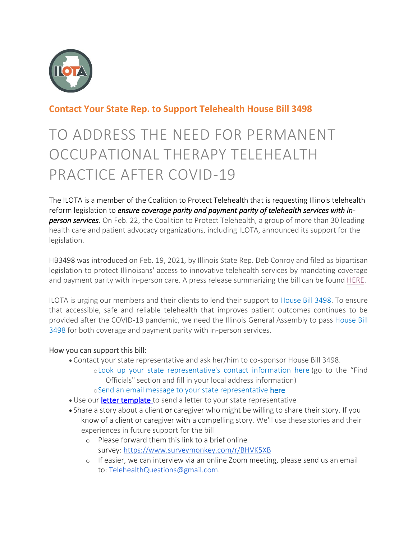

## **Contact Your State Rep. to Support Telehealth House Bill 3498**

## TO ADDRESS THE NEED FOR PERMANENT OCCUPATIONAL THERAPY TELEHEALTH PRACTICE AFTER COVID-19

The ILOTA is a member of the Coalition to Protect Telehealth that is requesting Illinois telehealth reform legislation to *ensure coverage parity and payment parity of telehealth services with inperson services*. On Feb. 22, the Coalition to Protect Telehealth, a group of more than 30 leading health care and patient advocacy organizations, including ILOTA, announced its support for the legislation.

HB3498 was introduced on Feb. 19, 2021, by Illinois State Rep. Deb Conroy and filed as bipartisan legislation to protect Illinoisans' access to innovative telehealth services by mandating coverage and payment parity with in-person care. A press release summarizing the bill can be found [HERE.](https://www.ilota.org/assets/Telehealth%20Press%20Release%2002%2022%202021%20FINAL%20for%20coalition%20website%201.pdf)

ILOTA is urging our members and their clients to lend their support to [House Bill 3498.](https://www.ilga.gov/legislation/billstatus.asp?DocNum=3498&GAID=16&GA=102&DocTypeID=HB&LegID=132503&SessionID=110) To ensure that accessible, safe and reliable telehealth that improves patient outcomes continues to be provided after the COVID-19 pandemic, we need the Illinois General Assembly to pass [House Bill](https://www.ilga.gov/legislation/billstatus.asp?DocNum=3498&GAID=16&GA=102&DocTypeID=HB&LegID=132503&SessionID=110)  [3498](https://www.ilga.gov/legislation/billstatus.asp?DocNum=3498&GAID=16&GA=102&DocTypeID=HB&LegID=132503&SessionID=110) for both coverage and payment parity with in-person services.

## How you can support this bill:

- Contact your state representative and ask her/him to co-sponsor House Bill 3498.
	- o[Look up your state representative's contact information here](https://urldefense.com/v3/__https:/www.team-iha.org/advocacy-policy/advocacy-action-center__%3b%21%21OlavHw%21u8pfzVQk6tA8KqR6Lx1VCqc7YWOW52smhBD1ZAUG23AGU5TnT8Ri_x6x5pDggV3Asw$) (go to the "Find Officials" section and fill in your local address information)
		- o[Send an email message to your](https://urldefense.com/v3/__https:/www.votervoice.net/ILHA/campaigns/81317/respond__%3b%21%21OlavHw%21u8pfzVQk6tA8KqR6Lx1VCqc7YWOW52smhBD1ZAUG23AGU5TnT8Ri_x6x5pCp_Gl7ww$) state representative here
- Use our [letter template](https://www.ilota.org/assets/Telehealth%20Legislative%20Letter%20Revised%202021%20-Final.docx) to send a letter to your state representative
- Share a story about a client or caregiver who might be willing to share their story. If you know of a client or caregiver with a compelling story. We'll use these stories and their experiences in future support for the bill
	- o Please forward them this link to a brief online survey: [https://www.surveymonkey.com/r/BHVK5XB](http://ilota.memberclicks.net/message2/link/10393382-86a9-44d9-ac2b-5b57acb55c10/1)
	- o If easier, we can interview via an online Zoom meeting, please send us an email to: [TelehealthQuestions@gmail.com.](http://ilota.memberclicks.net/message2/link/10393382-86a9-44d9-ac2b-5b57acb55c10/2)